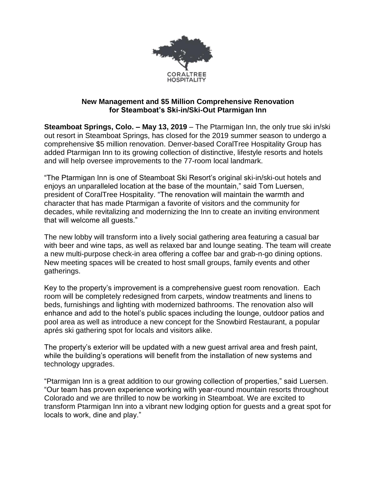

## **New Management and \$5 Million Comprehensive Renovation for Steamboat's Ski-in/Ski-Out Ptarmigan Inn**

**Steamboat Springs, Colo. – May 13, 2019** – The Ptarmigan Inn, the only true ski in/ski out resort in Steamboat Springs, has closed for the 2019 summer season to undergo a comprehensive \$5 million renovation. Denver-based CoralTree Hospitality Group has added Ptarmigan Inn to its growing collection of distinctive, lifestyle resorts and hotels and will help oversee improvements to the 77-room local landmark.

"The Ptarmigan Inn is one of Steamboat Ski Resort's original ski-in/ski-out hotels and enjoys an unparalleled location at the base of the mountain," said Tom Luersen, president of CoralTree Hospitality. "The renovation will maintain the warmth and character that has made Ptarmigan a favorite of visitors and the community for decades, while revitalizing and modernizing the Inn to create an inviting environment that will welcome all guests."

The new lobby will transform into a lively social gathering area featuring a casual bar with beer and wine taps, as well as relaxed bar and lounge seating. The team will create a new multi-purpose check-in area offering a coffee bar and grab-n-go dining options. New meeting spaces will be created to host small groups, family events and other gatherings.

Key to the property's improvement is a comprehensive guest room renovation. Each room will be completely redesigned from carpets, window treatments and linens to beds, furnishings and lighting with modernized bathrooms. The renovation also will enhance and add to the hotel's public spaces including the lounge, outdoor patios and pool area as well as introduce a new concept for the Snowbird Restaurant, a popular aprés ski gathering spot for locals and visitors alike.

The property's exterior will be updated with a new guest arrival area and fresh paint, while the building's operations will benefit from the installation of new systems and technology upgrades.

"Ptarmigan Inn is a great addition to our growing collection of properties," said Luersen. "Our team has proven experience working with year-round mountain resorts throughout Colorado and we are thrilled to now be working in Steamboat. We are excited to transform Ptarmigan Inn into a vibrant new lodging option for guests and a great spot for locals to work, dine and play."